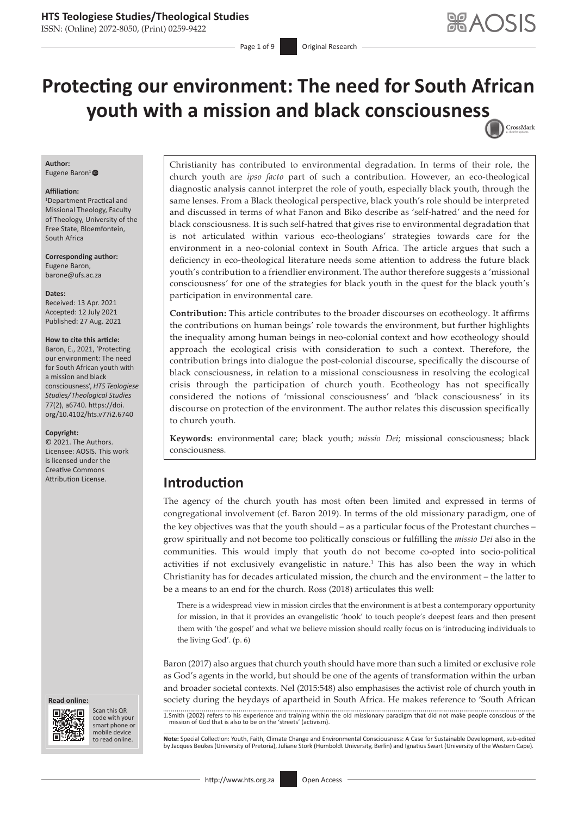### **HTS Teologiese Studies/Theological Studies**

ISSN: (Online) 2072-8050, (Print) 0259-9422

Page 1 of 9 **Original Research** 

# **Protecting our environment: The need for South African youth with a mission and black consciousnes[s](http://crossmark.crossref.org/dialog/?doi=10.4102/hts.v77i2.6740=pdf&date_stamp=2021-08-27)** CrossMark

#### **Author:**

Eugene Baron<sup>1</sup>

#### **Affiliation:**

1 Department Practical and Missional Theology, Faculty of Theology, University of the Free State, Bloemfontein, South Africa

**Corresponding author:** Eugene Baron, [barone@ufs.ac.za](mailto:barone@ufs.ac.za)

#### **Dates:**

Received: 13 Apr. 2021 Accepted: 12 July 2021 Published: 27 Aug. 2021

#### **How to cite this article:**

Baron, E., 2021, 'Protecting our environment: The need for South African youth with a mission and black consciousness', *HTS Teologiese Studies/Theological Studies* 77(2), a6740. [https://doi.](https://doi.org/10.4102/hts.v77i2.6740) [org/10.4102/hts.v77i2.6740](https://doi.org/10.4102/hts.v77i2.6740)

#### **Copyright:**

© 2021. The Authors. Licensee: AOSIS. This work is licensed under the Creative Commons





Scan this QR code with your Scan this QR<br>code with your<br>smart phone or<br>mobile device mobile device to read online.

Christianity has contributed to environmental degradation. In terms of their role, the church youth are *ipso facto* part of such a contribution. However, an eco-theological diagnostic analysis cannot interpret the role of youth, especially black youth, through the same lenses. From a Black theological perspective, black youth's role should be interpreted and discussed in terms of what Fanon and Biko describe as 'self-hatred' and the need for black consciousness. It is such self-hatred that gives rise to environmental degradation that is not articulated within various eco-theologians' strategies towards care for the environment in a neo-colonial context in South Africa. The article argues that such a deficiency in eco-theological literature needs some attention to address the future black youth's contribution to a friendlier environment. The author therefore suggests a 'missional consciousness' for one of the strategies for black youth in the quest for the black youth's participation in environmental care.

**Contribution:** This article contributes to the broader discourses on ecotheology. It affirms the contributions on human beings' role towards the environment, but further highlights the inequality among human beings in neo-colonial context and how ecotheology should approach the ecological crisis with consideration to such a context. Therefore, the contribution brings into dialogue the post-colonial discourse, specifically the discourse of black consciousness, in relation to a missional consciousness in resolving the ecological crisis through the participation of church youth. Ecotheology has not specifically considered the notions of 'missional consciousness' and 'black consciousness' in its discourse on protection of the environment. The author relates this discussion specifically to church youth.

**Keywords:** environmental care; black youth; *missio Dei*; missional consciousness; black consciousness.

# Attribution License. **Introduction**

The agency of the church youth has most often been limited and expressed in terms of congregational involvement (cf. Baron 2019). In terms of the old missionary paradigm, one of the key objectives was that the youth should – as a particular focus of the Protestant churches – grow spiritually and not become too politically conscious or fulfilling the *missio Dei* also in the communities. This would imply that youth do not become co-opted into socio-political activities if not exclusively evangelistic in nature.<sup>1</sup> This has also been the way in which Christianity has for decades articulated mission, the church and the environment – the latter to be a means to an end for the church. Ross (2018) articulates this well:

There is a widespread view in mission circles that the environment is at best a contemporary opportunity for mission, in that it provides an evangelistic 'hook' to touch people's deepest fears and then present them with 'the gospel' and what we believe mission should really focus on is 'introducing individuals to the living God'. (p. 6)

Baron (2017) also argues that church youth should have more than such a limited or exclusive role as God's agents in the world, but should be one of the agents of transformation within the urban and broader societal contexts. Nel (2015:548) also emphasises the activist role of church youth in society during the heydays of apartheid in South Africa. He makes reference to 'South African

1.Smith (2002) refers to his experience and training within the old missionary paradigm that did not make people conscious of the mission of God that is also to be on the 'streets' (activism).

to read online. **Note:** Special Collection: Youth, Faith, Climate Change and Environmental Consciousness: A Case for Sustainable Development, sub-edited<br>by Jacques Beukes (University of Pretoria), Juliane Stork (Humboldt U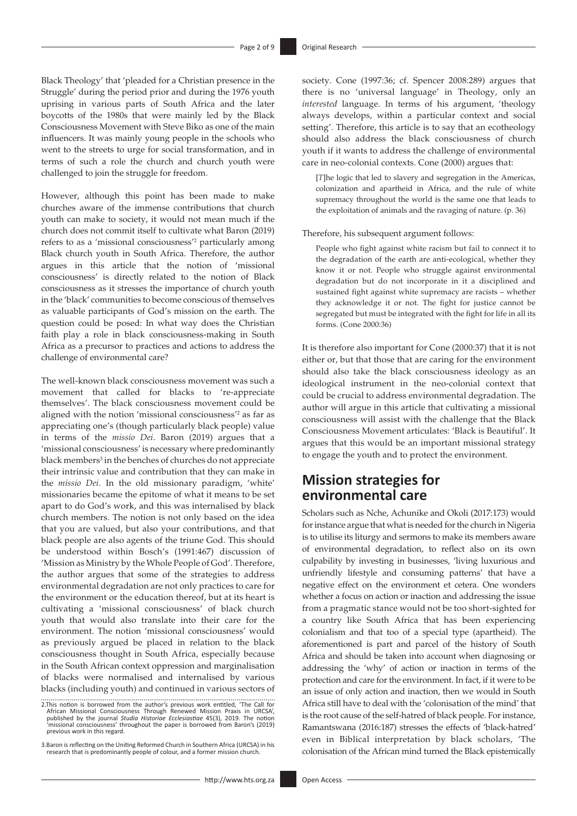Black Theology' that 'pleaded for a Christian presence in the Struggle' during the period prior and during the 1976 youth uprising in various parts of South Africa and the later boycotts of the 1980s that were mainly led by the Black Consciousness Movement with Steve Biko as one of the main influencers. It was mainly young people in the schools who went to the streets to urge for social transformation, and in terms of such a role the church and church youth were challenged to join the struggle for freedom.

However, although this point has been made to make churches aware of the immense contributions that church youth can make to society, it would not mean much if the church does not commit itself to cultivate what Baron (2019) refers to as a 'missional consciousness'2 particularly among Black church youth in South Africa. Therefore, the author argues in this article that the notion of 'missional consciousness' is directly related to the notion of Black consciousness as it stresses the importance of church youth in the 'black' communities to become conscious of themselves as valuable participants of God's mission on the earth. The question could be posed: In what way does the Christian faith play a role in black consciousness-making in South Africa as a precursor to practices and actions to address the challenge of environmental care?

The well-known black consciousness movement was such a movement that called for blacks to 're-appreciate themselves'. The black consciousness movement could be aligned with the notion 'missional consciousness'2 as far as appreciating one's (though particularly black people) value in terms of the *missio Dei*. Baron (2019) argues that a 'missional consciousness' is necessary where predominantly black members<sup>3</sup> in the benches of churches do not appreciate their intrinsic value and contribution that they can make in the *missio Dei*. In the old missionary paradigm, 'white' missionaries became the epitome of what it means to be set apart to do God's work, and this was internalised by black church members. The notion is not only based on the idea that you are valued, but also your contributions, and that black people are also agents of the triune God. This should be understood within Bosch's (1991:467) discussion of 'Mission as Ministry by the Whole People of God'. Therefore, the author argues that some of the strategies to address environmental degradation are not only practices to care for the environment or the education thereof, but at its heart is cultivating a 'missional consciousness' of black church youth that would also translate into their care for the environment. The notion 'missional consciousness' would as previously argued be placed in relation to the black consciousness thought in South Africa, especially because in the South African context oppression and marginalisation of blacks were normalised and internalised by various blacks (including youth) and continued in various sectors of society. Cone (1997:36; cf. Spencer 2008:289) argues that there is no 'universal language' in Theology, only an *interested* language. In terms of his argument, 'theology always develops, within a particular context and social setting'. Therefore, this article is to say that an ecotheology should also address the black consciousness of church youth if it wants to address the challenge of environmental care in neo-colonial contexts. Cone (2000) argues that:

[*T*]he logic that led to slavery and segregation in the Americas, colonization and apartheid in Africa, and the rule of white supremacy throughout the world is the same one that leads to the exploitation of animals and the ravaging of nature. (p. 36)

Therefore, his subsequent argument follows:

People who fight against white racism but fail to connect it to the degradation of the earth are anti-ecological, whether they know it or not. People who struggle against environmental degradation but do not incorporate in it a disciplined and sustained fight against white supremacy are racists – whether they acknowledge it or not. The fight for justice cannot be segregated but must be integrated with the fight for life in all its forms. (Cone 2000:36)

It is therefore also important for Cone (2000:37) that it is not either or, but that those that are caring for the environment should also take the black consciousness ideology as an ideological instrument in the neo-colonial context that could be crucial to address environmental degradation. The author will argue in this article that cultivating a missional consciousness will assist with the challenge that the Black Consciousness Movement articulates: 'Black is Beautiful'. It argues that this would be an important missional strategy to engage the youth and to protect the environment.

# **Mission strategies for environmental care**

Scholars such as Nche, Achunike and Okoli (2017:173) would for instance argue that what is needed for the church in Nigeria is to utilise its liturgy and sermons to make its members aware of environmental degradation, to reflect also on its own culpability by investing in businesses, 'living luxurious and unfriendly lifestyle and consuming patterns' that have a negative effect on the environment et cetera. One wonders whether a focus on action or inaction and addressing the issue from a pragmatic stance would not be too short-sighted for a country like South Africa that has been experiencing colonialism and that too of a special type (apartheid). The aforementioned is part and parcel of the history of South Africa and should be taken into account when diagnosing or addressing the 'why' of action or inaction in terms of the protection and care for the environment. In fact, if it were to be an issue of only action and inaction, then we would in South Africa still have to deal with the 'colonisation of the mind' that is the root cause of the self-hatred of black people. For instance, Ramantswana (2016:187) stresses the effects of 'black-hatred' even in Biblical interpretation by black scholars, 'The colonisation of the African mind turned the Black epistemically

<sup>2.</sup>This notion is borrowed from the author's previous work entitled, 'The Call for<br>African Missional Consciousness Through Renewed Mission Praxis in URCSA',<br>published by the journal Studia Historiae Ecclesiastiae 45(3), 201 'missional consciousness' throughout the paper is borrowed from Baron's (2019) previous work in this regard.

<sup>3.</sup>Baron is reflecting on the Uniting Reformed Church in Southern Africa (URCSA) in his research that is predominantly people of colour, and a former mission church.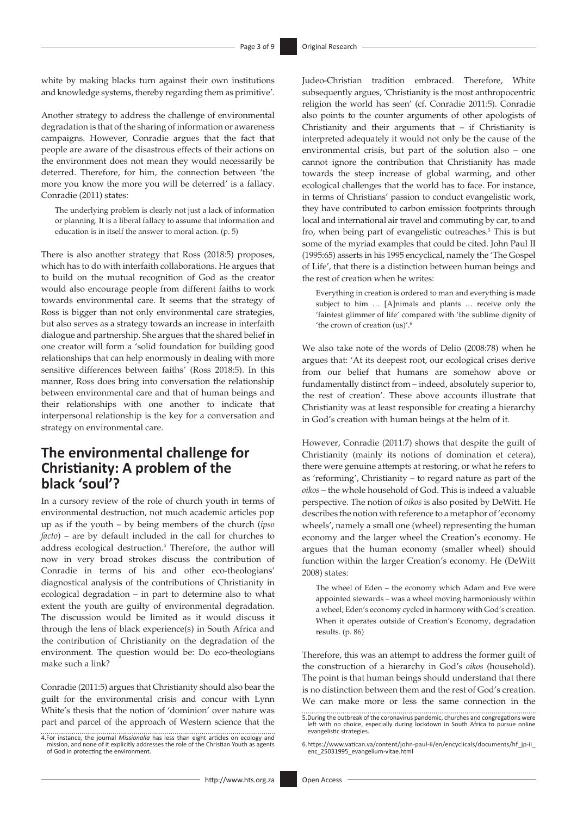white by making blacks turn against their own institutions and knowledge systems, thereby regarding them as primitive'.

Another strategy to address the challenge of environmental degradation is that of the sharing of information or awareness campaigns. However, Conradie argues that the fact that people are aware of the disastrous effects of their actions on the environment does not mean they would necessarily be deterred. Therefore, for him, the connection between 'the more you know the more you will be deterred' is a fallacy. Conradie (2011) states:

The underlying problem is clearly not just a lack of information or planning. It is a liberal fallacy to assume that information and education is in itself the answer to moral action. (p. 5)

There is also another strategy that Ross (2018:5) proposes, which has to do with interfaith collaborations. He argues that to build on the mutual recognition of God as the creator would also encourage people from different faiths to work towards environmental care. It seems that the strategy of Ross is bigger than not only environmental care strategies, but also serves as a strategy towards an increase in interfaith dialogue and partnership. She argues that the shared belief in one creator will form a 'solid foundation for building good relationships that can help enormously in dealing with more sensitive differences between faiths' (Ross 2018:5). In this manner, Ross does bring into conversation the relationship between environmental care and that of human beings and their relationships with one another to indicate that interpersonal relationship is the key for a conversation and strategy on environmental care.

# **The environmental challenge for Christianity: A problem of the black 'soul'?**

In a cursory review of the role of church youth in terms of environmental destruction, not much academic articles pop up as if the youth – by being members of the church (*ipso facto*) – are by default included in the call for churches to address ecological destruction.<sup>4</sup> Therefore, the author will now in very broad strokes discuss the contribution of Conradie in terms of his and other eco-theologians' diagnostical analysis of the contributions of Christianity in ecological degradation – in part to determine also to what extent the youth are guilty of environmental degradation. The discussion would be limited as it would discuss it through the lens of black experience(s) in South Africa and the contribution of Christianity on the degradation of the environment. The question would be: Do eco-theologians make such a link?

Conradie (2011:5) argues that Christianity should also bear the guilt for the environmental crisis and concur with Lynn White's thesis that the notion of 'dominion' over nature was part and parcel of the approach of Western science that the

4.For instance, the journal *Missionalia* has less than eight articles on ecology and mission, and none of it explicitly addresses the role of the Christian Youth as agents of God in protecting the environment. Judeo-Christian tradition embraced. Therefore, White subsequently argues, 'Christianity is the most anthropocentric religion the world has seen' (cf. Conradie 2011:5). Conradie also points to the counter arguments of other apologists of Christianity and their arguments that – if Christianity is interpreted adequately it would not only be the cause of the environmental crisis, but part of the solution also – one cannot ignore the contribution that Christianity has made towards the steep increase of global warming, and other ecological challenges that the world has to face. For instance, in terms of Christians' passion to conduct evangelistic work, they have contributed to carbon emission footprints through local and international air travel and commuting by car, to and fro, when being part of evangelistic outreaches.<sup>5</sup> This is but some of the myriad examples that could be cited. John Paul II (1995:65) asserts in his 1995 encyclical, namely the 'The Gospel of Life', that there is a distinction between human beings and the rest of creation when he writes:

Everything in creation is ordered to man and everything is made subject to him … [A]nimals and plants … receive only the 'faintest glimmer of life' compared with 'the sublime dignity of 'the crown of creation (us)'.6

We also take note of the words of Delio (2008:78) when he argues that: 'At its deepest root, our ecological crises derive from our belief that humans are somehow above or fundamentally distinct from – indeed, absolutely superior to, the rest of creation'. These above accounts illustrate that Christianity was at least responsible for creating a hierarchy in God's creation with human beings at the helm of it.

However, Conradie (2011:7) shows that despite the guilt of Christianity (mainly its notions of domination et cetera), there were genuine attempts at restoring, or what he refers to as 'reforming', Christianity – to regard nature as part of the *oikos* – the whole household of God. This is indeed a valuable perspective. The notion of *oikos* is also posited by DeWitt. He describes the notion with reference to a metaphor of 'economy wheels', namely a small one (wheel) representing the human economy and the larger wheel the Creation's economy. He argues that the human economy (smaller wheel) should function within the larger Creation's economy. He (DeWitt 2008) states:

The wheel of Eden – the economy which Adam and Eve were appointed stewards – was a wheel moving harmoniously within a wheel; Eden's economy cycled in harmony with God's creation. When it operates outside of Creation's Economy, degradation results. (p. 86)

Therefore, this was an attempt to address the former guilt of the construction of a hierarchy in God's *oikos* (household). The point is that human beings should understand that there is no distinction between them and the rest of God's creation. We can make more or less the same connection in the

<sup>5.</sup>During the outbreak of the coronavirus pandemic, churches and congregations were left with no choice, especially during lockdown in South Africa to pursue online evangelistic strategies.

<sup>6</sup>[.https://www.vatican.va/content/john-paul-ii/en/encyclicals/documents/hf\\_jp-ii\\_](https://www.vatican.va/content/john-paul-ii/en/encyclicals/documents/hf_jp-ii_enc_25031995_evangelium-vitae.html) [enc\\_25031995\\_evangelium-vitae.html](https://www.vatican.va/content/john-paul-ii/en/encyclicals/documents/hf_jp-ii_enc_25031995_evangelium-vitae.html)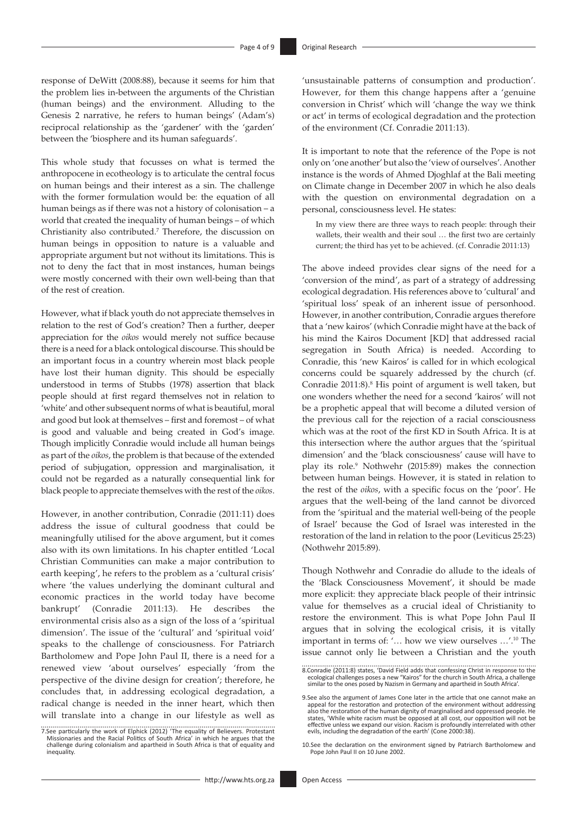response of DeWitt (2008:88), because it seems for him that the problem lies in-between the arguments of the Christian (human beings) and the environment. Alluding to the Genesis 2 narrative, he refers to human beings' (Adam's) reciprocal relationship as the 'gardener' with the 'garden' between the 'biosphere and its human safeguards'.

This whole study that focusses on what is termed the anthropocene in ecotheology is to articulate the central focus on human beings and their interest as a sin. The challenge with the former formulation would be: the equation of all human beings as if there was not a history of colonisation – a world that created the inequality of human beings – of which Christianity also contributed.<sup>7</sup> Therefore, the discussion on human beings in opposition to nature is a valuable and appropriate argument but not without its limitations. This is not to deny the fact that in most instances, human beings were mostly concerned with their own well-being than that of the rest of creation.

However, what if black youth do not appreciate themselves in relation to the rest of God's creation? Then a further, deeper appreciation for the *oikos* would merely not suffice because there is a need for a black ontological discourse. This should be an important focus in a country wherein most black people have lost their human dignity. This should be especially understood in terms of Stubbs (1978) assertion that black people should at first regard themselves not in relation to 'white' and other subsequent norms of what is beautiful, moral and good but look at themselves – first and foremost – of what is good and valuable and being created in God's image. Though implicitly Conradie would include all human beings as part of the *oikos*, the problem is that because of the extended period of subjugation, oppression and marginalisation, it could not be regarded as a naturally consequential link for black people to appreciate themselves with the rest of the *oikos*.

However, in another contribution, Conradie (2011:11) does address the issue of cultural goodness that could be meaningfully utilised for the above argument, but it comes also with its own limitations. In his chapter entitled 'Local Christian Communities can make a major contribution to earth keeping', he refers to the problem as a 'cultural crisis' where 'the values underlying the dominant cultural and economic practices in the world today have become bankrupt' (Conradie 2011:13). He describes environmental crisis also as a sign of the loss of a 'spiritual dimension'. The issue of the 'cultural' and 'spiritual void' speaks to the challenge of consciousness. For Patriarch Bartholomew and Pope John Paul II, there is a need for a renewed view 'about ourselves' especially 'from the perspective of the divine design for creation'; therefore, he concludes that, in addressing ecological degradation, a radical change is needed in the inner heart, which then will translate into a change in our lifestyle as well as

'unsustainable patterns of consumption and production'. However, for them this change happens after a 'genuine conversion in Christ' which will 'change the way we think or act' in terms of ecological degradation and the protection of the environment (Cf. Conradie 2011:13).

It is important to note that the reference of the Pope is not only on 'one another' but also the 'view of ourselves'. Another instance is the words of Ahmed Djoghlaf at the Bali meeting on Climate change in December 2007 in which he also deals with the question on environmental degradation on a personal, consciousness level. He states:

In my view there are three ways to reach people: through their wallets, their wealth and their soul … the first two are certainly current; the third has yet to be achieved. (cf. Conradie 2011:13)

The above indeed provides clear signs of the need for a 'conversion of the mind', as part of a strategy of addressing ecological degradation. His references above to 'cultural' and 'spiritual loss' speak of an inherent issue of personhood. However, in another contribution, Conradie argues therefore that a 'new kairos' (which Conradie might have at the back of his mind the Kairos Document [KD] that addressed racial segregation in South Africa) is needed. According to Conradie, this 'new Kairos' is called for in which ecological concerns could be squarely addressed by the church (cf. Conradie 2011:8).<sup>8</sup> His point of argument is well taken, but one wonders whether the need for a second 'kairos' will not be a prophetic appeal that will become a diluted version of the previous call for the rejection of a racial consciousness which was at the root of the first KD in South Africa. It is at this intersection where the author argues that the 'spiritual dimension' and the 'black consciousness' cause will have to play its role.<sup>9</sup> Nothwehr (2015:89) makes the connection between human beings. However, it is stated in relation to the rest of the *oikos*, with a specific focus on the 'poor'. He argues that the well-being of the land cannot be divorced from the 'spiritual and the material well-being of the people of Israel' because the God of Israel was interested in the restoration of the land in relation to the poor (Leviticus 25:23) (Nothwehr 2015:89).

Though Nothwehr and Conradie do allude to the ideals of the 'Black Consciousness Movement', it should be made more explicit: they appreciate black people of their intrinsic value for themselves as a crucial ideal of Christianity to restore the environment. This is what Pope John Paul II argues that in solving the ecological crisis, it is vitally important in terms of: '… how we view ourselves …'.10 The issue cannot only lie between a Christian and the youth

<sup>7.</sup>See particularly the work of Elphick (2012) 'The equality of Believers. Protestant Missionaries and the Racial Politics of South Africa' in which he argues that the challenge during colonialism and apartheid in South Africa is that of equality and inequality.

<sup>8.</sup>Conradie (2011:8) states, 'David Field adds that confessing Christ in response to the ecological challenges poses a new "Kairos" for the church in South Africa, a challenge similar to the ones posed by Nazism in Germany and apartheid in South Africa'.

<sup>9.</sup>See also the argument of James Cone later in the article that one cannot make an appeal for the restoration and protection of the environment without addressing also the restoration of the human dignity of marginalised and oppressed people. He states, 'While white racism must be opposed at all cost, our opposition will not be effective unless we expand our vision. Racism is profoundly interrelated with other evils, including the degradation of the earth' (Cone 2000:38).

<sup>10.</sup>See the declaration on the environment signed by Patriarch Bartholomew and Pope John Paul II on 10 June 2002.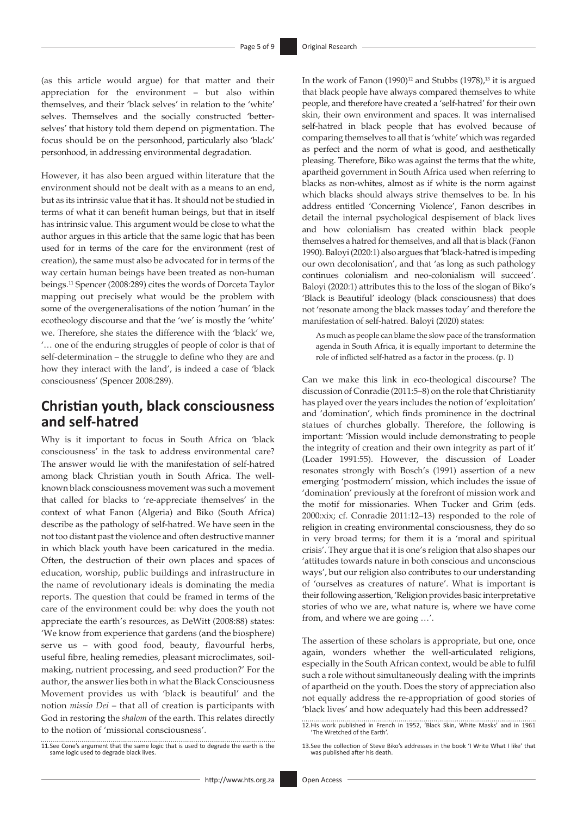(as this article would argue) for that matter and their appreciation for the environment – but also within themselves, and their 'black selves' in relation to the 'white' selves. Themselves and the socially constructed 'betterselves' that history told them depend on pigmentation. The focus should be on the personhood, particularly also 'black' personhood, in addressing environmental degradation.

However, it has also been argued within literature that the environment should not be dealt with as a means to an end, but as its intrinsic value that it has. It should not be studied in terms of what it can benefit human beings, but that in itself has intrinsic value. This argument would be close to what the author argues in this article that the same logic that has been used for in terms of the care for the environment (rest of creation), the same must also be advocated for in terms of the way certain human beings have been treated as non-human beings.11 Spencer (2008:289) cites the words of Dorceta Taylor mapping out precisely what would be the problem with some of the overgeneralisations of the notion 'human' in the ecotheology discourse and that the 'we' is mostly the 'white' we. Therefore, she states the difference with the 'black' we, '… one of the enduring struggles of people of color is that of self-determination – the struggle to define who they are and how they interact with the land', is indeed a case of 'black consciousness' (Spencer 2008:289).

# **Christian youth, black consciousness and self-hatred**

Why is it important to focus in South Africa on 'black consciousness' in the task to address environmental care? The answer would lie with the manifestation of self-hatred among black Christian youth in South Africa. The wellknown black consciousness movement was such a movement that called for blacks to 're-appreciate themselves' in the context of what Fanon (Algeria) and Biko (South Africa) describe as the pathology of self-hatred. We have seen in the not too distant past the violence and often destructive manner in which black youth have been caricatured in the media. Often, the destruction of their own places and spaces of education, worship, public buildings and infrastructure in the name of revolutionary ideals is dominating the media reports. The question that could be framed in terms of the care of the environment could be: why does the youth not appreciate the earth's resources, as DeWitt (2008:88) states: 'We know from experience that gardens (and the biosphere) serve us – with good food, beauty, flavourful herbs, useful fibre, healing remedies, pleasant microclimates, soilmaking, nutrient processing, and seed production?' For the author, the answer lies both in what the Black Consciousness Movement provides us with 'black is beautiful' and the notion *missio Dei* – that all of creation is participants with God in restoring the *shalom* of the earth. This relates directly to the notion of 'missional consciousness'.

11.See Cone's argument that the same logic that is used to degrade the earth is the same logic used to degrade black lives.

In the work of Fanon  $(1990)^{12}$  and Stubbs  $(1978)$ ,<sup>13</sup> it is argued that black people have always compared themselves to white people, and therefore have created a 'self-hatred' for their own skin, their own environment and spaces. It was internalised self-hatred in black people that has evolved because of comparing themselves to all that is 'white' which was regarded as perfect and the norm of what is good, and aesthetically pleasing. Therefore, Biko was against the terms that the white, apartheid government in South Africa used when referring to blacks as non-whites, almost as if white is the norm against which blacks should always strive themselves to be. In his address entitled 'Concerning Violence', Fanon describes in detail the internal psychological despisement of black lives and how colonialism has created within black people themselves a hatred for themselves, and all that is black (Fanon 1990). Baloyi (2020:1) also argues that 'black-hatred is impeding our own decolonisation', and that 'as long as such pathology continues colonialism and neo-colonialism will succeed'. Baloyi (2020:1) attributes this to the loss of the slogan of Biko's 'Black is Beautiful' ideology (black consciousness) that does not 'resonate among the black masses today' and therefore the manifestation of self-hatred. Baloyi (2020) states:

As much as people can blame the slow pace of the transformation agenda in South Africa, it is equally important to determine the role of inflicted self-hatred as a factor in the process. (p. 1)

Can we make this link in eco-theological discourse? The discussion of Conradie (2011:5–8) on the role that Christianity has played over the years includes the notion of 'exploitation' and 'domination', which finds prominence in the doctrinal statues of churches globally. Therefore, the following is important: 'Mission would include demonstrating to people the integrity of creation and their own integrity as part of it' (Loader 1991:55). However, the discussion of Loader resonates strongly with Bosch's (1991) assertion of a new emerging 'postmodern' mission, which includes the issue of 'domination' previously at the forefront of mission work and the motif for missionaries. When Tucker and Grim (eds. 2000:xix; cf. Conradie 2011:12–13) responded to the role of religion in creating environmental consciousness, they do so in very broad terms; for them it is a 'moral and spiritual crisis'. They argue that it is one's religion that also shapes our 'attitudes towards nature in both conscious and unconscious ways', but our religion also contributes to our understanding of 'ourselves as creatures of nature'. What is important is their following assertion, 'Religion provides basic interpretative stories of who we are, what nature is, where we have come from, and where we are going …'.

The assertion of these scholars is appropriate, but one, once again, wonders whether the well-articulated religions, especially in the South African context, would be able to fulfil such a role without simultaneously dealing with the imprints of apartheid on the youth. Does the story of appreciation also not equally address the re-appropriation of good stories of 'black lives' and how adequately had this been addressed?

12.His work published in French in 1952, 'Black Skin, White Masks' and in 1961 'The Wretched of the Earth'.

13.See the collection of Steve Biko's addresses in the book 'I Write What I like' that was published after his death.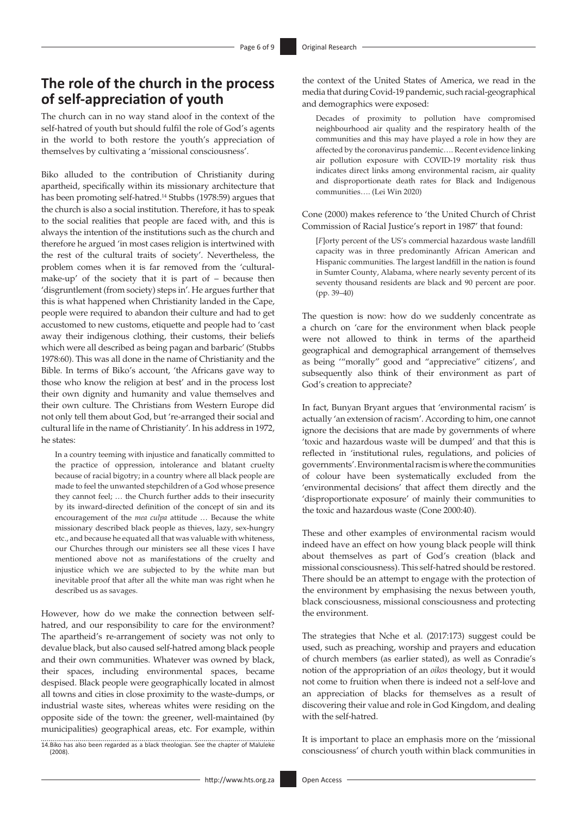### **The role of the church in the process of self-appreciation of youth**

The church can in no way stand aloof in the context of the self-hatred of youth but should fulfil the role of God's agents in the world to both restore the youth's appreciation of themselves by cultivating a 'missional consciousness'.

Biko alluded to the contribution of Christianity during apartheid, specifically within its missionary architecture that has been promoting self-hatred.14 Stubbs (1978:59) argues that the church is also a social institution. Therefore, it has to speak to the social realities that people are faced with, and this is always the intention of the institutions such as the church and therefore he argued 'in most cases religion is intertwined with the rest of the cultural traits of society'. Nevertheless, the problem comes when it is far removed from the 'culturalmake-up' of the society that it is part of – because then 'disgruntlement (from society) steps in'. He argues further that this is what happened when Christianity landed in the Cape, people were required to abandon their culture and had to get accustomed to new customs, etiquette and people had to 'cast away their indigenous clothing, their customs, their beliefs which were all described as being pagan and barbaric' (Stubbs 1978:60). This was all done in the name of Christianity and the Bible. In terms of Biko's account, 'the Africans gave way to those who know the religion at best' and in the process lost their own dignity and humanity and value themselves and their own culture. The Christians from Western Europe did not only tell them about God, but 're-arranged their social and cultural life in the name of Christianity'. In his address in 1972, he states:

In a country teeming with injustice and fanatically committed to the practice of oppression, intolerance and blatant cruelty because of racial bigotry; in a country where all black people are made to feel the unwanted stepchildren of a God whose presence they cannot feel; … the Church further adds to their insecurity by its inward-directed definition of the concept of sin and its encouragement of the *mea culpa* attitude … Because the white missionary described black people as thieves, lazy, sex-hungry etc., and because he equated all that was valuable with whiteness, our Churches through our ministers see all these vices I have mentioned above not as manifestations of the cruelty and injustice which we are subjected to by the white man but inevitable proof that after all the white man was right when he described us as savages.

However, how do we make the connection between selfhatred, and our responsibility to care for the environment? The apartheid's re-arrangement of society was not only to devalue black, but also caused self-hatred among black people and their own communities. Whatever was owned by black, their spaces, including environmental spaces, became despised. Black people were geographically located in almost all towns and cities in close proximity to the waste-dumps, or industrial waste sites, whereas whites were residing on the opposite side of the town: the greener, well-maintained (by municipalities) geographical areas, etc. For example, within

14.Biko has also been regarded as a black theologian. See the chapter of Maluleke (2008).

the context of the United States of America, we read in the media that during Covid-19 pandemic, such racial-geographical and demographics were exposed:

Decades of proximity to pollution have compromised neighbourhood air quality and the respiratory health of the communities and this may have played a role in how they are affected by the coronavirus pandemic…. Recent evidence linking air pollution exposure with COVID-19 mortality risk thus indicates direct links among environmental racism, air quality and disproportionate death rates for Black and Indigenous communities…. (Lei Win 2020)

Cone (2000) makes reference to 'the United Church of Christ Commission of Racial Justice's report in 1987' that found:

[*F*]orty percent of the US's commercial hazardous waste landfill capacity was in three predominantly African American and Hispanic communities. The largest landfill in the nation is found in Sumter County, Alabama, where nearly seventy percent of its seventy thousand residents are black and 90 percent are poor. (pp. 39–40)

The question is now: how do we suddenly concentrate as a church on 'care for the environment when black people were not allowed to think in terms of the apartheid geographical and demographical arrangement of themselves as being '"morally" good and "appreciative" citizens', and subsequently also think of their environment as part of God's creation to appreciate?

In fact, Bunyan Bryant argues that 'environmental racism' is actually 'an extension of racism'. According to him, one cannot ignore the decisions that are made by governments of where 'toxic and hazardous waste will be dumped' and that this is reflected in 'institutional rules, regulations, and policies of governments'. Environmental racism is where the communities of colour have been systematically excluded from the 'environmental decisions' that affect them directly and the 'disproportionate exposure' of mainly their communities to the toxic and hazardous waste (Cone 2000:40).

These and other examples of environmental racism would indeed have an effect on how young black people will think about themselves as part of God's creation (black and missional consciousness). This self-hatred should be restored. There should be an attempt to engage with the protection of the environment by emphasising the nexus between youth, black consciousness, missional consciousness and protecting the environment.

The strategies that Nche et al. (2017:173) suggest could be used, such as preaching, worship and prayers and education of church members (as earlier stated), as well as Conradie's notion of the appropriation of an *oikos* theology, but it would not come to fruition when there is indeed not a self-love and an appreciation of blacks for themselves as a result of discovering their value and role in God Kingdom, and dealing with the self-hatred.

It is important to place an emphasis more on the 'missional consciousness' of church youth within black communities in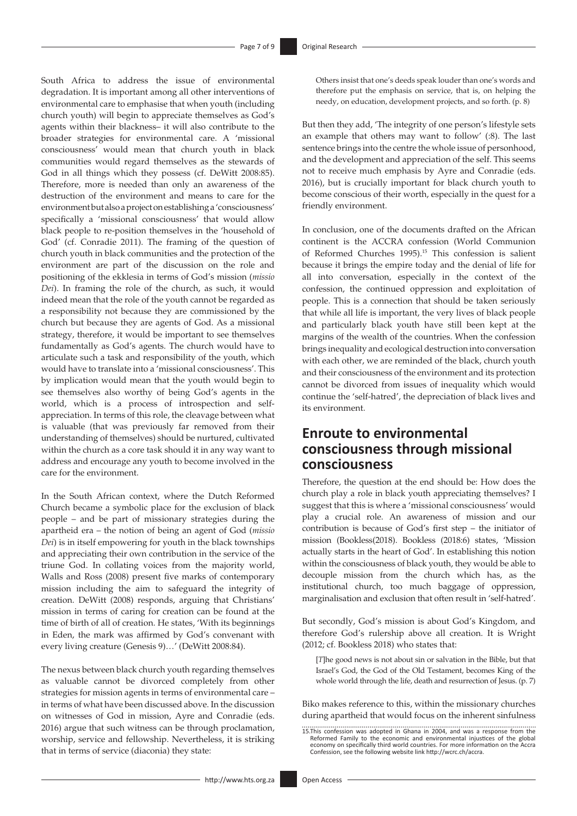South Africa to address the issue of environmental degradation. It is important among all other interventions of environmental care to emphasise that when youth (including church youth) will begin to appreciate themselves as God's agents within their blackness– it will also contribute to the broader strategies for environmental care. A 'missional consciousness' would mean that church youth in black communities would regard themselves as the stewards of God in all things which they possess (cf. DeWitt 2008:85). Therefore, more is needed than only an awareness of the destruction of the environment and means to care for the environment but also a project on establishing a 'consciousness' specifically a 'missional consciousness' that would allow black people to re-position themselves in the 'household of God' (cf. Conradie 2011). The framing of the question of church youth in black communities and the protection of the environment are part of the discussion on the role and positioning of the ekklesia in terms of God's mission (*missio Dei*). In framing the role of the church, as such, it would indeed mean that the role of the youth cannot be regarded as a responsibility not because they are commissioned by the church but because they are agents of God. As a missional strategy, therefore, it would be important to see themselves fundamentally as God's agents. The church would have to articulate such a task and responsibility of the youth, which would have to translate into a 'missional consciousness'. This by implication would mean that the youth would begin to see themselves also worthy of being God's agents in the world, which is a process of introspection and selfappreciation. In terms of this role, the cleavage between what is valuable (that was previously far removed from their understanding of themselves) should be nurtured, cultivated within the church as a core task should it in any way want to address and encourage any youth to become involved in the care for the environment.

In the South African context, where the Dutch Reformed Church became a symbolic place for the exclusion of black people – and be part of missionary strategies during the apartheid era – the notion of being an agent of God (*missio Dei*) is in itself empowering for youth in the black townships and appreciating their own contribution in the service of the triune God. In collating voices from the majority world, Walls and Ross (2008) present five marks of contemporary mission including the aim to safeguard the integrity of creation. DeWitt (2008) responds, arguing that Christians' mission in terms of caring for creation can be found at the time of birth of all of creation. He states, 'With its beginnings in Eden, the mark was affirmed by God's convenant with every living creature (Genesis 9)…' (DeWitt 2008:84).

The nexus between black church youth regarding themselves as valuable cannot be divorced completely from other strategies for mission agents in terms of environmental care – in terms of what have been discussed above. In the discussion on witnesses of God in mission, Ayre and Conradie (eds. 2016) argue that such witness can be through proclamation, worship, service and fellowship. Nevertheless, it is striking that in terms of service (diaconia) they state:

Others insist that one's deeds speak louder than one's words and therefore put the emphasis on service, that is, on helping the needy, on education, development projects, and so forth. (p. 8)

But then they add, 'The integrity of one person's lifestyle sets an example that others may want to follow' (:8). The last sentence brings into the centre the whole issue of personhood, and the development and appreciation of the self. This seems not to receive much emphasis by Ayre and Conradie (eds. 2016), but is crucially important for black church youth to become conscious of their worth, especially in the quest for a friendly environment.

In conclusion, one of the documents drafted on the African continent is the ACCRA confession (World Communion of Reformed Churches 1995).15 This confession is salient because it brings the empire today and the denial of life for all into conversation, especially in the context of the confession, the continued oppression and exploitation of people. This is a connection that should be taken seriously that while all life is important, the very lives of black people and particularly black youth have still been kept at the margins of the wealth of the countries. When the confession brings inequality and ecological destruction into conversation with each other, we are reminded of the black, church youth and their consciousness of the environment and its protection cannot be divorced from issues of inequality which would continue the 'self-hatred', the depreciation of black lives and its environment.

# **Enroute to environmental consciousness through missional consciousness**

Therefore, the question at the end should be: How does the church play a role in black youth appreciating themselves? I suggest that this is where a 'missional consciousness' would play a crucial role. An awareness of mission and our contribution is because of God's first step – the initiator of mission (Bookless(2018). Bookless (2018:6) states, 'Mission actually starts in the heart of God'. In establishing this notion within the consciousness of black youth, they would be able to decouple mission from the church which has, as the institutional church, too much baggage of oppression, marginalisation and exclusion that often result in 'self-hatred'.

But secondly, God's mission is about God's Kingdom, and therefore God's rulership above all creation. It is Wright (2012; cf. Bookless 2018) who states that:

[*T*]he good news is not about sin or salvation in the Bible, but that Israel's God, the God of the Old Testament, becomes King of the whole world through the life, death and resurrection of Jesus. (p. 7)

Biko makes reference to this, within the missionary churches during apartheid that would focus on the inherent sinfulness

<sup>15.</sup>This confession was adopted in Ghana in 2004, and was a response from the<br>Reformed Family to the economic and environmental injustices of the global<br>economy on specifically third world countries. For more information on Confession, see the following website link <http://wcrc.ch/accra>.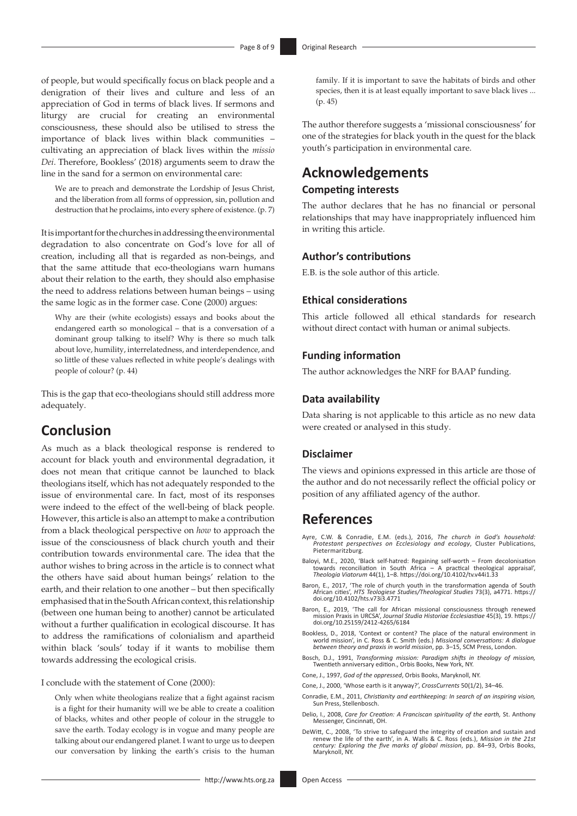of people, but would specifically focus on black people and a denigration of their lives and culture and less of an appreciation of God in terms of black lives. If sermons and liturgy are crucial for creating an environmental consciousness, these should also be utilised to stress the importance of black lives within black communities – cultivating an appreciation of black lives within the *missio Dei*. Therefore, Bookless' (2018) arguments seem to draw the line in the sand for a sermon on environmental care:

We are to preach and demonstrate the Lordship of Jesus Christ, and the liberation from all forms of oppression, sin, pollution and destruction that he proclaims, into every sphere of existence. (p. 7)

It is important for the churches in addressing the environmental degradation to also concentrate on God's love for all of creation, including all that is regarded as non-beings, and that the same attitude that eco-theologians warn humans about their relation to the earth, they should also emphasise the need to address relations between human beings – using the same logic as in the former case. Cone (2000) argues:

Why are their (white ecologists) essays and books about the endangered earth so monological – that is a conversation of a dominant group talking to itself? Why is there so much talk about love, humility, interrelatedness, and interdependence, and so little of these values reflected in white people's dealings with people of colour? (p. 44)

This is the gap that eco-theologians should still address more adequately.

### **Conclusion**

As much as a black theological response is rendered to account for black youth and environmental degradation, it does not mean that critique cannot be launched to black theologians itself, which has not adequately responded to the issue of environmental care. In fact, most of its responses were indeed to the effect of the well-being of black people. However, this article is also an attempt to make a contribution from a black theological perspective on *how* to approach the issue of the consciousness of black church youth and their contribution towards environmental care. The idea that the author wishes to bring across in the article is to connect what the others have said about human beings' relation to the earth, and their relation to one another – but then specifically emphasised that in the South African context, this relationship (between one human being to another) cannot be articulated without a further qualification in ecological discourse. It has to address the ramifications of colonialism and apartheid within black 'souls' today if it wants to mobilise them towards addressing the ecological crisis.

I conclude with the statement of Cone (2000):

Only when white theologians realize that a fight against racism is a fight for their humanity will we be able to create a coalition of blacks, whites and other people of colour in the struggle to save the earth. Today ecology is in vogue and many people are talking about our endangered planet. I want to urge us to deepen our conversation by linking the earth's crisis to the human family. If it is important to save the habitats of birds and other species, then it is at least equally important to save black lives ... (p. 45)

The author therefore suggests a 'missional consciousness' for one of the strategies for black youth in the quest for the black youth's participation in environmental care.

### **Acknowledgements Competing interests**

The author declares that he has no financial or personal relationships that may have inappropriately influenced him in writing this article.

#### **Author's contributions**

E.B. is the sole author of this article.

#### **Ethical considerations**

This article followed all ethical standards for research without direct contact with human or animal subjects.

#### **Funding information**

The author acknowledges the NRF for BAAP funding.

#### **Data availability**

Data sharing is not applicable to this article as no new data were created or analysed in this study.

#### **Disclaimer**

The views and opinions expressed in this article are those of the author and do not necessarily reflect the official policy or position of any affiliated agency of the author.

### **References**

- Ayre, C.W. & Conradie, E.M. (eds.), 2016, *The church in God's household: Protestant perspectives on Ecclesiology and ecology*, Cluster Publications, Pietermaritzburg.
- Baloyi, M.E., 2020, 'Black self-hatred: Regaining self-worth From decolonisation<br>towards reconciliation in South Africa A practical theological appraisal',<br>Theologia Viatorum 44(1), 1-8. https://doi.org/10.4102/tv.v44i
- Baron, E., 2017, 'The role of church youth in the transformation agenda of South African cities', *HTS Teologiese Studies/Theological Studies* 73(3), a4771. [https://](https://doi.org/10.4102/hts.v73i3.4771) [doi.org/10.4102/hts.v73i3.4771](https://doi.org/10.4102/hts.v73i3.4771)
- Baron, E., 2019, 'The call for African missional consciousness through renewed mission Praxis in URCSA', *Journal Studia Historiae Ecclesiastiae* 45(3), 19. [https://](https://doi.org/10.25159/2412-4265/6184) [doi.org/10.25159/2412-4265/6184](https://doi.org/10.25159/2412-4265/6184)
- Bookless, D., 2018, 'Context or content? The place of the natural environment in world mission', in C. Ross & C. Smith (eds.) *Missional conversations: A dialogue between theory and praxis in world mission*, pp. 3–15, SCM Press, London.
- Bosch, D.J., 1991, *Transforming mission: Paradigm shifts in theology of mission,*  Twentieth anniversary edition., Orbis Books, New York, NY.
- Cone, J., 1997, *God of the oppressed*, Orbis Books, Maryknoll, NY.
- Cone, J., 2000, 'Whose earth is it anyway?', *CrossCurrents* 50(1/2), 34–46.
- Conradie, E.M., 2011, *Christianity and earthkeeping: In search of an inspiring vision,* Sun Press, Stellenbosch.
- Delio, I., 2008, *Care for Creation: A Franciscan spirituality of the earth,* St. Anthony Messenger, Cincinnati, OH.
- DeWitt, C., 2008, 'To strive to safeguard the integrity of creation and sustain and<br>renew the life of the earth', in A. Walls & C. Ross (eds.), Mission in the 21st<br>century: Exploring the five marks of global mission, pp. 8 Maryknoll, NY.